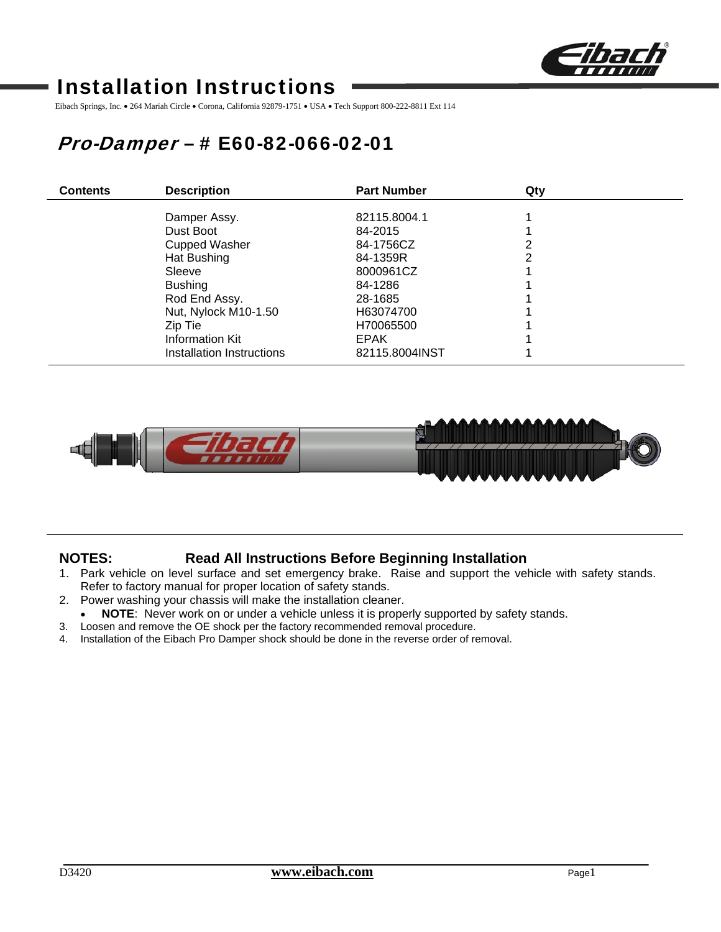

# Installation Instructions

Eibach Springs, Inc. • 264 Mariah Circle • Corona, California 92879-1751 • USA • Tech Support 800-222-8811 Ext 114

# Pro-Damper – # E60-82-066-02-01

| <b>Contents</b> | <b>Description</b>        | <b>Part Number</b> | Qty |  |
|-----------------|---------------------------|--------------------|-----|--|
|                 |                           |                    |     |  |
|                 | Damper Assy.              | 82115.8004.1       |     |  |
|                 | Dust Boot                 | 84-2015            |     |  |
|                 | <b>Cupped Washer</b>      | 84-1756CZ          | າ   |  |
|                 | Hat Bushing               | 84-1359R           | っ   |  |
|                 | Sleeve                    | 8000961CZ          |     |  |
|                 | <b>Bushing</b>            | 84-1286            |     |  |
|                 | Rod End Assy.             | 28-1685            |     |  |
|                 | Nut, Nylock M10-1.50      | H63074700          |     |  |
|                 | Zip Tie                   | H70065500          |     |  |
|                 | <b>Information Kit</b>    | <b>EPAK</b>        |     |  |
|                 | Installation Instructions | 82115.8004INST     |     |  |



## **NOTES: Read All Instructions Before Beginning Installation**

- 1. Park vehicle on level surface and set emergency brake. Raise and support the vehicle with safety stands. Refer to factory manual for proper location of safety stands.
- 2. Power washing your chassis will make the installation cleaner.
- **NOTE**: Never work on or under a vehicle unless it is properly supported by safety stands.
- 3. Loosen and remove the OE shock per the factory recommended removal procedure.
- 4. Installation of the Eibach Pro Damper shock should be done in the reverse order of removal.